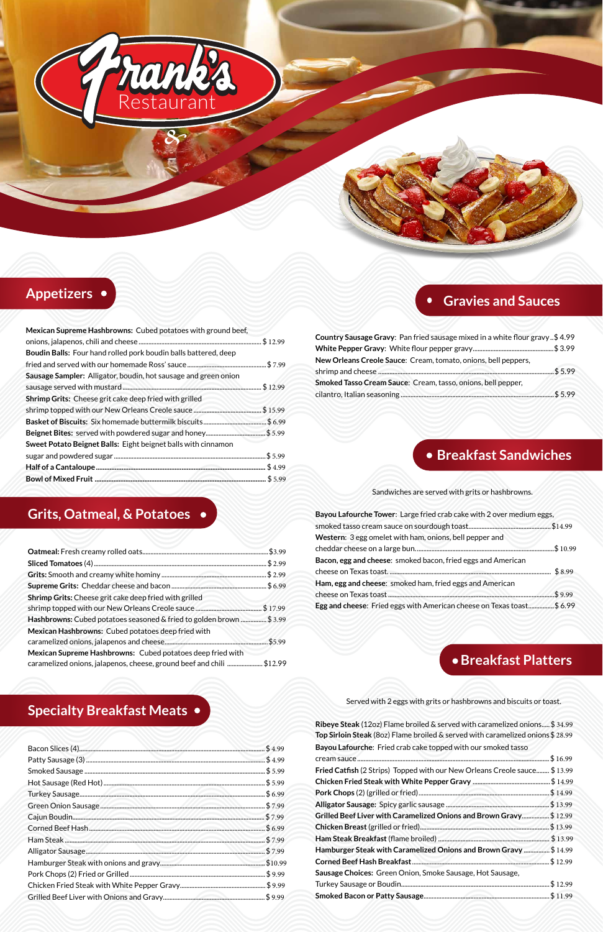# **Grits, Oatmeal, & Potatoes**

|                                                                      | \$3.99   |
|----------------------------------------------------------------------|----------|
|                                                                      | \$2.99   |
|                                                                      | \$2.99   |
|                                                                      | . \$6.99 |
| Shrimp Grits: Cheese grit cake deep fried with grilled               |          |
|                                                                      |          |
| Hashbrowns: Cubed potatoes seasoned & fried to golden brown \$ 3.99  |          |
| Mexican Hashbrowns: Cubed potatoes deep fried with                   |          |
|                                                                      | \$5.99   |
| Mexican Supreme Hashbrowns: Cubed potatoes deep fried with           |          |
| caramelized onions, jalapenos, cheese, ground beef and chili \$12.99 |          |

# **Gravies and Sauces**

| Country Sausage Gravy: Pan fried sausage mixed in a white flour gravy\$4.99 |            |
|-----------------------------------------------------------------------------|------------|
|                                                                             |            |
| New Orleans Creole Sauce: Cream, tomato, onions, bell peppers,              |            |
|                                                                             | $.$ \$5.99 |
| Smoked Tasso Cream Sauce: Cream, tasso, onions, bell pepper,                |            |
|                                                                             | $.$ \$5.99 |

# **Appetizers**

| Mexican Supreme Hashbrowns: Cubed potatoes with ground beef,    |             |
|-----------------------------------------------------------------|-------------|
|                                                                 | \$12.99     |
| Boudin Balls: Four hand rolled pork boudin balls battered, deep |             |
|                                                                 |             |
| Sausage Sampler: Alligator, boudin, hot sausage and green onion |             |
|                                                                 | $.$ \$12.99 |
| Shrimp Grits: Cheese grit cake deep fried with grilled          |             |
|                                                                 |             |
|                                                                 |             |
| Beignet Bites: served with powdered sugar and honey\$5.99       |             |
| Sweet Potato Beignet Balls: Eight beignet balls with cinnamon   |             |
|                                                                 | $.$ \$5.99  |
|                                                                 | . \$4.99    |
|                                                                 | $.$ \$5.99  |
|                                                                 |             |

*&*

Restaurant

rank

# **Breakfast Platters**

Served with 2 eggs with grits or hashbrowns and biscuits or toast.

**Ribeye Steak** (12oz) Flame broiled & served with caramelized onions..... \$ 34.99 **Top Sirloin Steak** (8oz) Flame broiled & served with caramelized onions \$ 28.99 **Bayou Lafourche**: Fried crab cake topped with our smoked tasso

|                                                                                  | \$16.99     |
|----------------------------------------------------------------------------------|-------------|
| <b>Fried Catfish</b> (2 Strips) Topped with our New Orleans Creole sauce \$13.99 |             |
|                                                                                  |             |
|                                                                                  | $.$ \$14.99 |
|                                                                                  |             |
| Grilled Beef Liver with Caramelized Onions and Brown Gravy\$ 12.99               |             |
|                                                                                  |             |
|                                                                                  |             |
| Hamburger Steak with Caramelized Onions and Brown Gravy \$ 14.99                 |             |
|                                                                                  | \$12.99     |
| Sausage Choices: Green Onion, Smoke Sausage, Hot Sausage,                        |             |
|                                                                                  | \$12.99     |
|                                                                                  |             |

# **Breakfast Sandwiches**

Sandwiches are served with grits or hashbrowns.

| Bayou Lafourche Tower: Large fried crab cake with 2 over medium eggs, |            |
|-----------------------------------------------------------------------|------------|
|                                                                       | \$14.99    |
| Western: 3 egg omelet with ham, onions, bell pepper and               |            |
|                                                                       | \$10.99    |
| Bacon, egg and cheese: smoked bacon, fried eggs and American          |            |
|                                                                       | \$8.99     |
| Ham, egg and cheese: smoked ham, fried eggs and American              |            |
|                                                                       | $.$ \$9.99 |
| Egg and cheese: Fried eggs with American cheese on Texas toast\$ 6.99 |            |

# **Specialty Breakfast Meats**

| \$4.99     |
|------------|
| \$4.99     |
| \$5.99     |
| \$5.99     |
| \$6.99     |
| $.$ \$7.99 |
| $.$ \$7.99 |
| \$6.99     |
| $.$ \$7.99 |
| \$7.99     |
| \$10.99    |
| \$9.99     |
| 59.99      |
| \$9.99     |